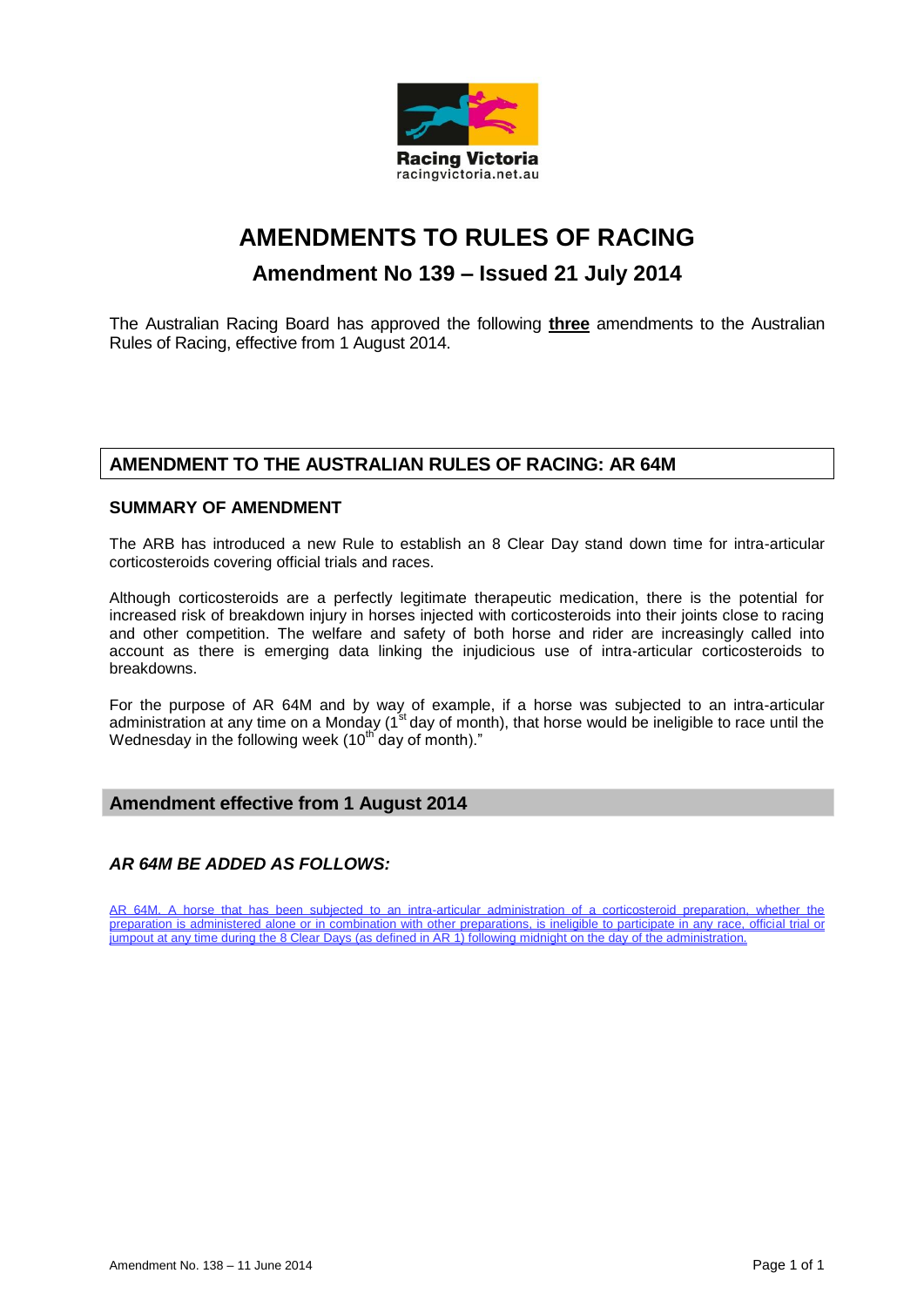

# **AMENDMENTS TO RULES OF RACING Amendment No 139 – Issued 21 July 2014**

The Australian Racing Board has approved the following **three** amendments to the Australian Rules of Racing, effective from 1 August 2014.

# **AMENDMENT TO THE AUSTRALIAN RULES OF RACING: AR 64M**

## **SUMMARY OF AMENDMENT**

The ARB has introduced a new Rule to establish an 8 Clear Day stand down time for intra-articular corticosteroids covering official trials and races.

Although corticosteroids are a perfectly legitimate therapeutic medication, there is the potential for increased risk of breakdown injury in horses injected with corticosteroids into their joints close to racing and other competition. The welfare and safety of both horse and rider are increasingly called into account as there is emerging data linking the injudicious use of intra-articular corticosteroids to breakdowns.

For the purpose of AR 64M and by way of example, if a horse was subjected to an intra-articular administration at any time on a Monday (1<sup>st</sup> day of month), that horse would be ineligible to race until the Wednesday in the following week (10<sup>th day</sup> of month)."

### **Amendment effective from 1 August 2014**

### *AR 64M BE ADDED AS FOLLOWS:*

AR 64M. A horse that has been subjected to an intra-articular administration of a corticosteroid preparation, whether the preparation is administered alone or in combination with other preparations, is ineligible to participate in any race, official trial or jumpout at any time during the 8 Clear Days (as defined in AR 1) following midnight on the day of the administration.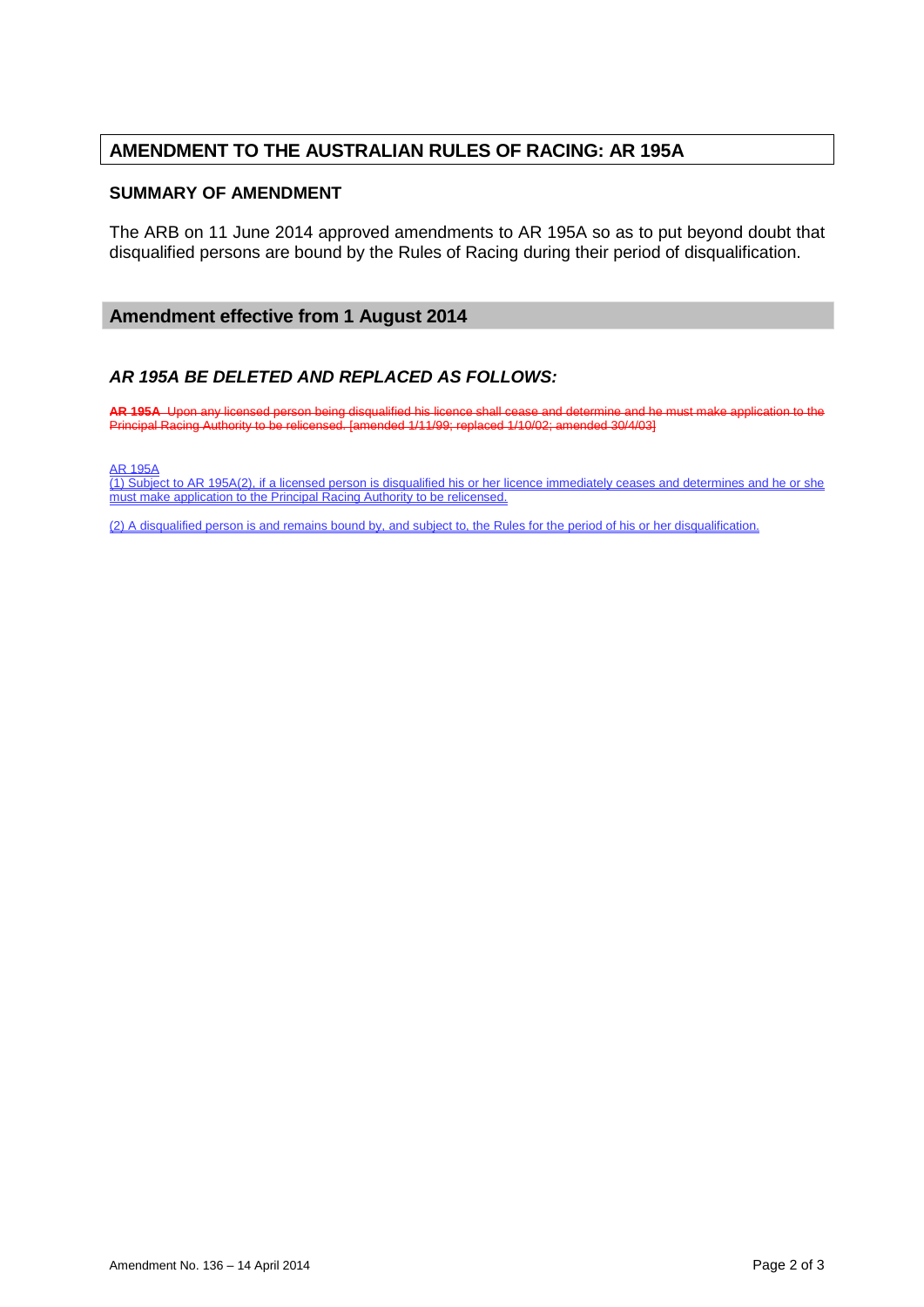# **AMENDMENT TO THE AUSTRALIAN RULES OF RACING: AR 195A**

#### **SUMMARY OF AMENDMENT**

The ARB on 11 June 2014 approved amendments to AR 195A so as to put beyond doubt that disqualified persons are bound by the Rules of Racing during their period of disqualification.

### **Amendment effective from 1 August 2014**

### *AR 195A BE DELETED AND REPLACED AS FOLLOWS:*

**AR 195A** Upon any licensed person being disqualified his licence shall cease and determine and he must make application to the Principal Racing Authority to be relicensed. [amended 1/11/99; replaced 1/10/02; amended 30/4/03]

AR 195A

(1) Subject to AR 195A(2), if a licensed person is disqualified his or her licence immediately ceases and determines and he or she must make application to the Principal Racing Authority to be relicensed.

(2) A disqualified person is and remains bound by, and subject to, the Rules for the period of his or her disqualification.